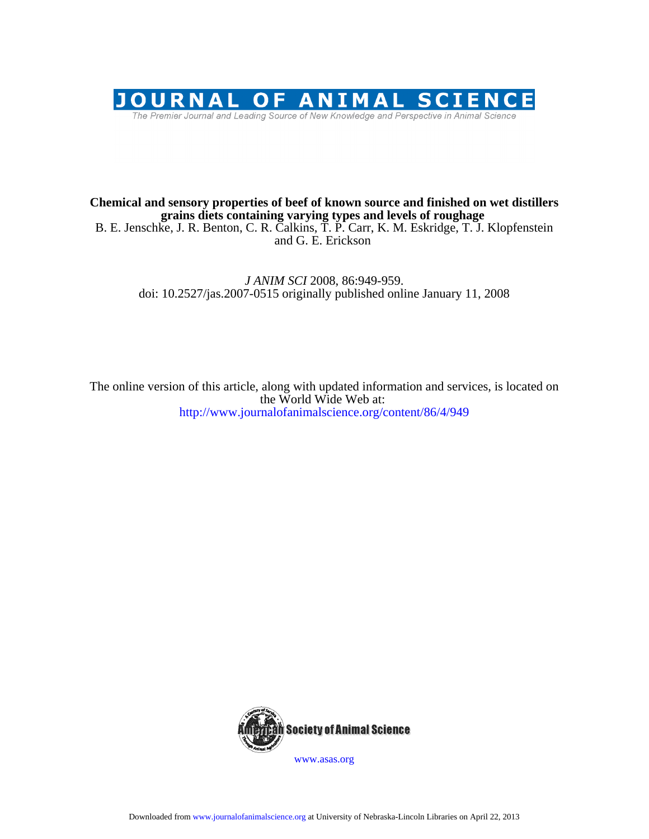

## **grains diets containing varying types and levels of roughage Chemical and sensory properties of beef of known source and finished on wet distillers**

and G. E. Erickson B. E. Jenschke, J. R. Benton, C. R. Calkins, T. P. Carr, K. M. Eskridge, T. J. Klopfenstein

doi: 10.2527/jas.2007-0515 originally published online January 11, 2008 *J ANIM SCI* 2008, 86:949-959.

http://www.journalofanimalscience.org/content/86/4/949 the World Wide Web at: The online version of this article, along with updated information and services, is located on



www.asas.org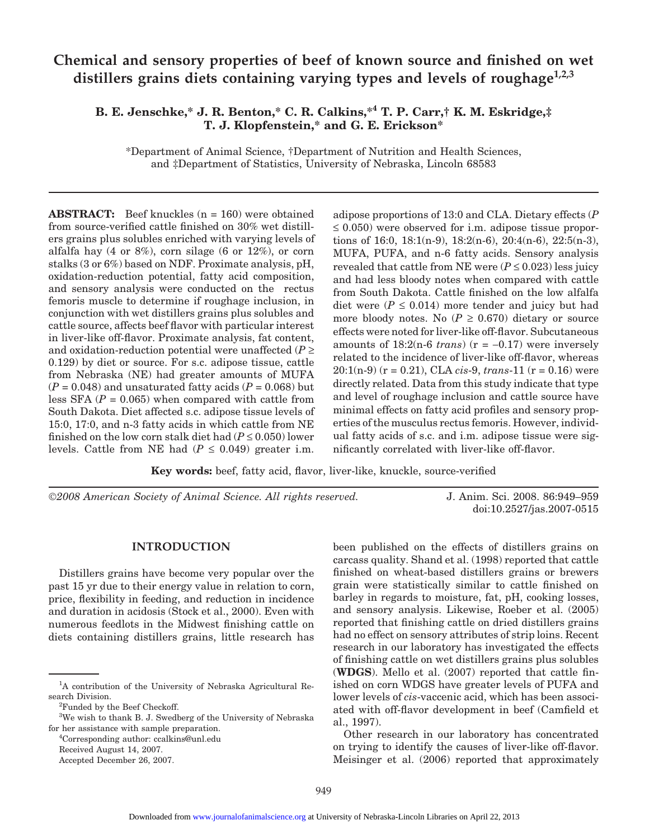# **Chemical and sensory properties of beef of known source and finished on wet** distillers grains diets containing varying types and levels of roughage<sup>1,2,3</sup>

## **B. E. Jenschke,\* J. R. Benton,\* C. R. Calkins,\*4 T. P. Carr,† K. M. Eskridge,‡ T. J. Klopfenstein,\* and G. E. Erickson\***

\*Department of Animal Science, †Department of Nutrition and Health Sciences, and ‡Department of Statistics, University of Nebraska, Lincoln 68583

**ABSTRACT:** Beef knuckles (n = 160) were obtained from source-verified cattle finished on 30% wet distillers grains plus solubles enriched with varying levels of alfalfa hay  $(4 \text{ or } 8\%)$ , corn silage  $(6 \text{ or } 12\%)$ , or corn stalks (3 or 6%) based on NDF. Proximate analysis, pH, oxidation-reduction potential, fatty acid composition, and sensory analysis were conducted on the rectus femoris muscle to determine if roughage inclusion, in conjunction with wet distillers grains plus solubles and cattle source, affects beef flavor with particular interest in liver-like off-flavor. Proximate analysis, fat content, and oxidation-reduction potential were unaffected  $(P \geq$ 0.129) by diet or source. For s.c. adipose tissue, cattle from Nebraska (NE) had greater amounts of MUFA  $(P = 0.048)$  and unsaturated fatty acids  $(P = 0.068)$  but less SFA  $(P = 0.065)$  when compared with cattle from South Dakota. Diet affected s.c. adipose tissue levels of 15:0, 17:0, and n-3 fatty acids in which cattle from NE finished on the low corn stalk diet had  $(P \le 0.050)$  lower levels. Cattle from NE had  $(P \le 0.049)$  greater i.m.

adipose proportions of 13:0 and CLA. Dietary effects (*P*  $\leq$  0.050) were observed for i.m. adipose tissue proportions of 16:0, 18:1(n-9), 18:2(n-6), 20:4(n-6), 22:5(n-3), MUFA, PUFA, and n-6 fatty acids. Sensory analysis revealed that cattle from NE were  $(P \le 0.023)$  less juicy and had less bloody notes when compared with cattle from South Dakota. Cattle finished on the low alfalfa diet were  $(P \le 0.014)$  more tender and juicy but had more bloody notes. No  $(P \ge 0.670)$  dietary or source effects were noted for liver-like off-flavor. Subcutaneous amounts of  $18:2(n-6 \text{ trans})$  ( $r = -0.17$ ) were inversely related to the incidence of liver-like off-flavor, whereas 20:1(n-9) (r = 0.21), CLA *cis*-9, *trans*-11 (r = 0.16) were directly related. Data from this study indicate that type and level of roughage inclusion and cattle source have minimal effects on fatty acid profiles and sensory properties of the musculus rectus femoris. However, individual fatty acids of s.c. and i.m. adipose tissue were significantly correlated with liver-like off-flavor.

**Key words:** beef, fatty acid, flavor, liver-like, knuckle, source-verified

©*2008 American Society of Animal Science. All rights reserved.* J. Anim. Sci. 2008. 86:949–959

doi:10.2527/jas.2007-0515

#### **INTRODUCTION**

Distillers grains have become very popular over the past 15 yr due to their energy value in relation to corn, price, flexibility in feeding, and reduction in incidence and duration in acidosis (Stock et al., 2000). Even with numerous feedlots in the Midwest finishing cattle on diets containing distillers grains, little research has

4 Corresponding author: ccalkins@unl.edu

Received August 14, 2007. Accepted December 26, 2007. been published on the effects of distillers grains on carcass quality. Shand et al. (1998) reported that cattle finished on wheat-based distillers grains or brewers grain were statistically similar to cattle finished on barley in regards to moisture, fat, pH, cooking losses, and sensory analysis. Likewise, Roeber et al. (2005) reported that finishing cattle on dried distillers grains had no effect on sensory attributes of strip loins. Recent research in our laboratory has investigated the effects of finishing cattle on wet distillers grains plus solubles (**WDGS**). Mello et al. (2007) reported that cattle finished on corn WDGS have greater levels of PUFA and lower levels of *cis*-vaccenic acid, which has been associated with off-flavor development in beef (Camfield et al., 1997).

Other research in our laboratory has concentrated on trying to identify the causes of liver-like off-flavor. Meisinger et al. (2006) reported that approximately

<sup>&</sup>lt;sup>1</sup>A contribution of the University of Nebraska Agricultural Research Division.

<sup>&</sup>lt;sup>2</sup>Funded by the Beef Checkoff.

<sup>&</sup>lt;sup>3</sup>We wish to thank B. J. Swedberg of the University of Nebraska for her assistance with sample preparation.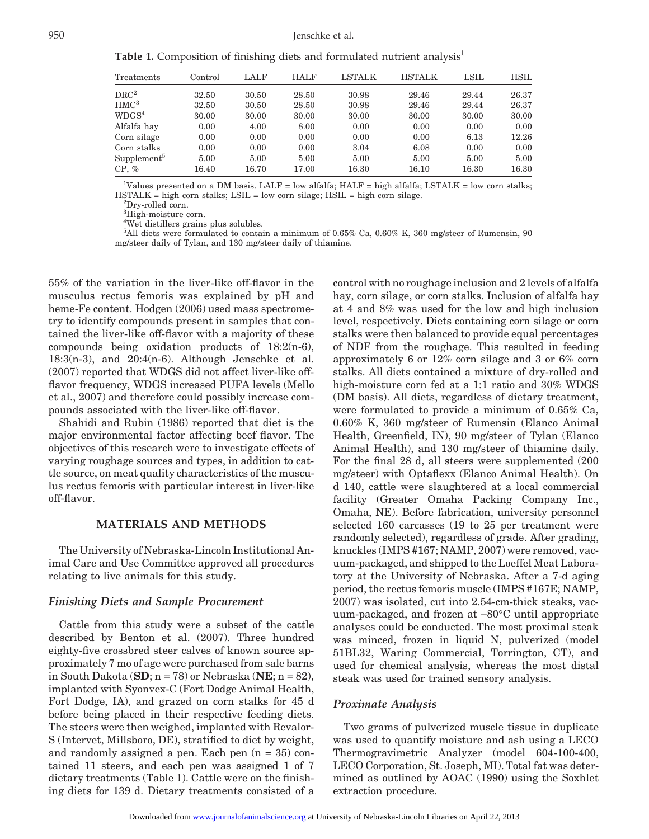**Table 1.** Composition of finishing diets and formulated nutrient analysis<sup>1</sup>

| Treatments            | $\rm Control$ | LALF  | <b>HALF</b> | <b>LSTALK</b> | <b>HSTALK</b> | $_{\rm LSIL}$ | <b>HSIL</b> |
|-----------------------|---------------|-------|-------------|---------------|---------------|---------------|-------------|
| $\rm DRC^2$           | 32.50         | 30.50 | 28.50       | 30.98         | 29.46         | 29.44         | 26.37       |
| $\rm HMC^3$           | 32.50         | 30.50 | 28.50       | 30.98         | 29.46         | 29.44         | 26.37       |
| $\rm WDGS^4$          | 30.00         | 30.00 | 30.00       | 30.00         | 30.00         | 30.00         | 30.00       |
| Alfalfa hay           | 0.00          | 4.00  | 8.00        | 0.00          | 0.00          | 0.00          | 0.00        |
| Corn silage           | 0.00          | 0.00  | 0.00        | 0.00          | 0.00          | 6.13          | 12.26       |
| Corn stalks           | 0.00          | 0.00  | 0.00        | 3.04          | 6.08          | 0.00          | 0.00        |
| $\text{Supplement}^5$ | 5.00          | 5.00  | 5.00        | 5.00          | 5.00          | 5.00          | 5.00        |
| $CP, \%$              | 16.40         | 16.70 | 17.00       | 16.30         | 16.10         | 16.30         | 16.30       |

<sup>1</sup>Values presented on a DM basis. LALF = low alfalfa; HALF = high alfalfa; LSTALK = low corn stalks;  $HSTALK = high corn stalls; LSIL = low corn slides; HSIL = high corn slides.$ 

<sup>2</sup>Dry-rolled corn.

<sup>3</sup>High-moisture corn.

4 Wet distillers grains plus solubles.

5 All diets were formulated to contain a minimum of 0.65% Ca, 0.60% K, 360 mg/steer of Rumensin, 90 mg/steer daily of Tylan, and 130 mg/steer daily of thiamine.

55% of the variation in the liver-like off-flavor in the musculus rectus femoris was explained by pH and heme-Fe content. Hodgen (2006) used mass spectrometry to identify compounds present in samples that contained the liver-like off-flavor with a majority of these compounds being oxidation products of 18:2(n-6), 18:3(n-3), and 20:4(n-6). Although Jenschke et al. (2007) reported that WDGS did not affect liver-like offflavor frequency, WDGS increased PUFA levels (Mello et al., 2007) and therefore could possibly increase compounds associated with the liver-like off-flavor.

Shahidi and Rubin (1986) reported that diet is the major environmental factor affecting beef flavor. The objectives of this research were to investigate effects of varying roughage sources and types, in addition to cattle source, on meat quality characteristics of the musculus rectus femoris with particular interest in liver-like off-flavor.

#### **MATERIALS AND METHODS**

The University of Nebraska-Lincoln Institutional Animal Care and Use Committee approved all procedures relating to live animals for this study.

#### *Finishing Diets and Sample Procurement*

Cattle from this study were a subset of the cattle described by Benton et al. (2007). Three hundred eighty-five crossbred steer calves of known source approximately 7 mo of age were purchased from sale barns in South Dakota (**SD**; n = 78) or Nebraska (**NE**; n = 82), implanted with Syonvex-C (Fort Dodge Animal Health, Fort Dodge, IA), and grazed on corn stalks for 45 d before being placed in their respective feeding diets. The steers were then weighed, implanted with Revalor-S (Intervet, Millsboro, DE), stratified to diet by weight, and randomly assigned a pen. Each pen  $(n = 35)$  contained 11 steers, and each pen was assigned 1 of 7 dietary treatments (Table 1). Cattle were on the finishing diets for 139 d. Dietary treatments consisted of a control with no roughage inclusion and 2 levels of alfalfa hay, corn silage, or corn stalks. Inclusion of alfalfa hay at 4 and 8% was used for the low and high inclusion level, respectively. Diets containing corn silage or corn stalks were then balanced to provide equal percentages of NDF from the roughage. This resulted in feeding approximately 6 or 12% corn silage and 3 or 6% corn stalks. All diets contained a mixture of dry-rolled and high-moisture corn fed at a 1:1 ratio and 30% WDGS (DM basis). All diets, regardless of dietary treatment, were formulated to provide a minimum of 0.65% Ca, 0.60% K, 360 mg/steer of Rumensin (Elanco Animal Health, Greenfield, IN), 90 mg/steer of Tylan (Elanco Animal Health), and 130 mg/steer of thiamine daily. For the final 28 d, all steers were supplemented (200 mg/steer) with Optaflexx (Elanco Animal Health). On d 140, cattle were slaughtered at a local commercial facility (Greater Omaha Packing Company Inc., Omaha, NE). Before fabrication, university personnel selected 160 carcasses (19 to 25 per treatment were randomly selected), regardless of grade. After grading, knuckles (IMPS #167; NAMP, 2007) were removed, vacuum-packaged, and shipped to the Loeffel Meat Laboratory at the University of Nebraska. After a 7-d aging period, the rectus femoris muscle (IMPS #167E; NAMP, 2007) was isolated, cut into 2.54-cm-thick steaks, vacuum-packaged, and frozen at −80°C until appropriate analyses could be conducted. The most proximal steak was minced, frozen in liquid N, pulverized (model 51BL32, Waring Commercial, Torrington, CT), and used for chemical analysis, whereas the most distal steak was used for trained sensory analysis.

#### *Proximate Analysis*

Two grams of pulverized muscle tissue in duplicate was used to quantify moisture and ash using a LECO Thermogravimetric Analyzer (model 604-100-400, LECO Corporation, St. Joseph, MI). Total fat was determined as outlined by AOAC (1990) using the Soxhlet extraction procedure.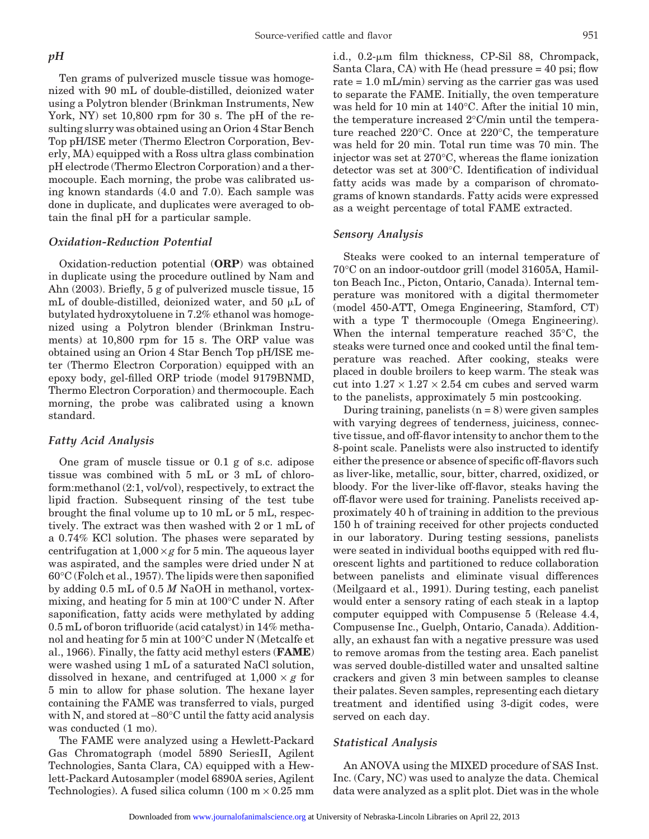Ten grams of pulverized muscle tissue was homogenized with 90 mL of double-distilled, deionized water using a Polytron blender (Brinkman Instruments, New York, NY) set 10,800 rpm for 30 s. The pH of the resulting slurry was obtained using an Orion 4 Star Bench Top pH/ISE meter (Thermo Electron Corporation, Beverly, MA) equipped with a Ross ultra glass combination pH electrode (Thermo Electron Corporation) and a thermocouple. Each morning, the probe was calibrated using known standards (4.0 and 7.0). Each sample was done in duplicate, and duplicates were averaged to obtain the final pH for a particular sample.

#### *Oxidation-Reduction Potential*

Oxidation-reduction potential (**ORP**) was obtained in duplicate using the procedure outlined by Nam and Ahn (2003). Briefly, 5 g of pulverized muscle tissue, 15 mL of double-distilled, deionized water, and 50  $\mu$ L of butylated hydroxytoluene in 7.2% ethanol was homogenized using a Polytron blender (Brinkman Instruments) at 10,800 rpm for 15 s. The ORP value was obtained using an Orion 4 Star Bench Top pH/ISE meter (Thermo Electron Corporation) equipped with an epoxy body, gel-filled ORP triode (model 9179BNMD, Thermo Electron Corporation) and thermocouple. Each morning, the probe was calibrated using a known standard.

#### *Fatty Acid Analysis*

One gram of muscle tissue or 0.1 g of s.c. adipose tissue was combined with 5 mL or 3 mL of chloroform:methanol (2:1, vol/vol), respectively, to extract the lipid fraction. Subsequent rinsing of the test tube brought the final volume up to 10 mL or 5 mL, respectively. The extract was then washed with 2 or 1 mL of a 0.74% KCl solution. The phases were separated by centrifugation at  $1,000 \times g$  for 5 min. The aqueous layer was aspirated, and the samples were dried under N at 60°C (Folch et al., 1957). The lipids were then saponified by adding 0.5 mL of 0.5 *M* NaOH in methanol, vortexmixing, and heating for 5 min at 100°C under N. After saponification, fatty acids were methylated by adding 0.5 mL of boron trifluoride (acid catalyst) in 14% methanol and heating for 5 min at 100°C under N (Metcalfe et al., 1966). Finally, the fatty acid methyl esters (**FAME**) were washed using 1 mL of a saturated NaCl solution, dissolved in hexane, and centrifuged at  $1,000 \times g$  for 5 min to allow for phase solution. The hexane layer containing the FAME was transferred to vials, purged with N, and stored at −80°C until the fatty acid analysis was conducted (1 mo).

The FAME were analyzed using a Hewlett-Packard Gas Chromatograph (model 5890 SeriesII, Agilent Technologies, Santa Clara, CA) equipped with a Hewlett-Packard Autosampler (model 6890A series, Agilent Technologies). A fused silica column  $(100 \text{ m} \times 0.25 \text{ mm})$ 

i.d.,  $0.2$ - $\mu$ m film thickness, CP-Sil 88, Chrompack, Santa Clara, CA) with He (head pressure = 40 psi; flow rate = 1.0 mL/min) serving as the carrier gas was used to separate the FAME. Initially, the oven temperature was held for 10 min at 140°C. After the initial 10 min, the temperature increased 2°C/min until the temperature reached 220°C. Once at 220°C, the temperature was held for 20 min. Total run time was 70 min. The injector was set at 270°C, whereas the flame ionization detector was set at 300°C. Identification of individual fatty acids was made by a comparison of chromatograms of known standards. Fatty acids were expressed as a weight percentage of total FAME extracted.

#### *Sensory Analysis*

Steaks were cooked to an internal temperature of 70°C on an indoor-outdoor grill (model 31605A, Hamilton Beach Inc., Picton, Ontario, Canada). Internal temperature was monitored with a digital thermometer (model 450-ATT, Omega Engineering, Stamford, CT) with a type T thermocouple (Omega Engineering). When the internal temperature reached 35°C, the steaks were turned once and cooked until the final temperature was reached. After cooking, steaks were placed in double broilers to keep warm. The steak was cut into  $1.27 \times 1.27 \times 2.54$  cm cubes and served warm to the panelists, approximately 5 min postcooking.

During training, panelists  $(n = 8)$  were given samples with varying degrees of tenderness, juiciness, connective tissue, and off-flavor intensity to anchor them to the 8-point scale. Panelists were also instructed to identify either the presence or absence of specific off-flavors such as liver-like, metallic, sour, bitter, charred, oxidized, or bloody. For the liver-like off-flavor, steaks having the off-flavor were used for training. Panelists received approximately 40 h of training in addition to the previous 150 h of training received for other projects conducted in our laboratory. During testing sessions, panelists were seated in individual booths equipped with red fluorescent lights and partitioned to reduce collaboration between panelists and eliminate visual differences (Meilgaard et al., 1991). During testing, each panelist would enter a sensory rating of each steak in a laptop computer equipped with Compusense 5 (Release 4.4, Compusense Inc., Guelph, Ontario, Canada). Additionally, an exhaust fan with a negative pressure was used to remove aromas from the testing area. Each panelist was served double-distilled water and unsalted saltine crackers and given 3 min between samples to cleanse their palates. Seven samples, representing each dietary treatment and identified using 3-digit codes, were served on each day.

#### *Statistical Analysis*

An ANOVA using the MIXED procedure of SAS Inst. Inc. (Cary, NC) was used to analyze the data. Chemical data were analyzed as a split plot. Diet was in the whole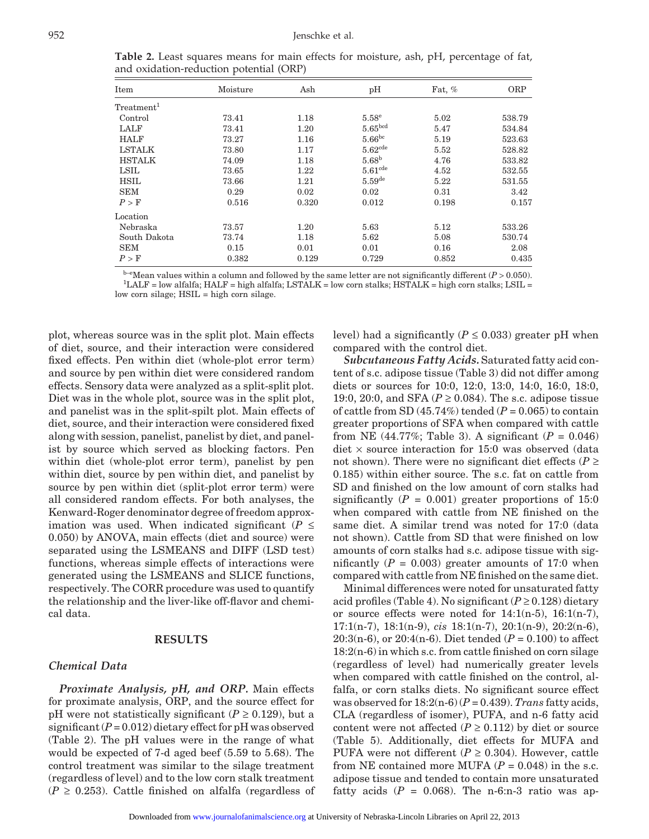| Item                   | Moisture | Ash   | pH                   | Fat, $%$ | ORP    |
|------------------------|----------|-------|----------------------|----------|--------|
| Treatment <sup>1</sup> |          |       |                      |          |        |
| Control                | 73.41    | 1.18  | 5.58 <sup>e</sup>    | 5.02     | 538.79 |
| LALF                   | 73.41    | 1.20  | 5.65 <sup>bcd</sup>  | 5.47     | 534.84 |
| <b>HALF</b>            | 73.27    | 1.16  | $5.66^{bc}$          | 5.19     | 523.63 |
| <b>LSTALK</b>          | 73.80    | 1.17  | 5.62 <sup>cde</sup>  | 5.52     | 528.82 |
| <b>HSTALK</b>          | 74.09    | 1.18  | 5.68 <sup>b</sup>    | 4.76     | 533.82 |
| LSIL                   | 73.65    | 1.22  | 5.61 <sup>cde</sup>  | 4.52     | 532.55 |
| <b>HSIL</b>            | 73.66    | 1.21  | $5.59$ <sup>de</sup> | 5.22     | 531.55 |
| <b>SEM</b>             | 0.29     | 0.02  | 0.02                 | 0.31     | 3.42   |
| P > F                  | 0.516    | 0.320 | 0.012                | 0.198    | 0.157  |
| Location               |          |       |                      |          |        |
| Nebraska               | 73.57    | 1.20  | 5.63                 | 5.12     | 533.26 |
| South Dakota           | 73.74    | 1.18  | 5.62                 | 5.08     | 530.74 |
| <b>SEM</b>             | 0.15     | 0.01  | 0.01                 | 0.16     | 2.08   |
| P > F                  | 0.382    | 0.129 | 0.729                | 0.852    | 0.435  |

**Table 2.** Least squares means for main effects for moisture, ash, pH, percentage of fat, and oxidation-reduction potential (ORP)

 $b$ <sup>-e</sup>Mean values within a column and followed by the same letter are not significantly different ( $P > 0.050$ ).  $L<sup>1</sup>LALF = low alfalfa; HALF = high alfalfa; LSTALK = low corn stalks; HSTALK = high corn stalks; LSIL = 1000 J.$ low corn silage;  $HSIL = high$  corn silage.

plot, whereas source was in the split plot. Main effects of diet, source, and their interaction were considered fixed effects. Pen within diet (whole-plot error term) and source by pen within diet were considered random effects. Sensory data were analyzed as a split-split plot. Diet was in the whole plot, source was in the split plot, and panelist was in the split-spilt plot. Main effects of diet, source, and their interaction were considered fixed along with session, panelist, panelist by diet, and panelist by source which served as blocking factors. Pen within diet (whole-plot error term), panelist by pen within diet, source by pen within diet, and panelist by source by pen within diet (split-plot error term) were all considered random effects. For both analyses, the Kenward-Roger denominator degree of freedom approximation was used. When indicated significant ( $P \leq$ 0.050) by ANOVA, main effects (diet and source) were separated using the LSMEANS and DIFF (LSD test) functions, whereas simple effects of interactions were generated using the LSMEANS and SLICE functions, respectively. The CORR procedure was used to quantify the relationship and the liver-like off-flavor and chemical data.

#### **RESULTS**

#### *Chemical Data*

*Proximate Analysis, pH, and ORP.* Main effects for proximate analysis, ORP, and the source effect for pH were not statistically significant ( $P \ge 0.129$ ), but a significant  $(P = 0.012)$  dietary effect for pH was observed (Table 2). The pH values were in the range of what would be expected of 7-d aged beef (5.59 to 5.68). The control treatment was similar to the silage treatment (regardless of level) and to the low corn stalk treatment  $(P \geq 0.253)$ . Cattle finished on alfalfa (regardless of level) had a significantly ( $P \le 0.033$ ) greater pH when compared with the control diet.

*Subcutaneous Fatty Acids.* Saturated fatty acid content of s.c. adipose tissue (Table 3) did not differ among diets or sources for 10:0, 12:0, 13:0, 14:0, 16:0, 18:0, 19:0, 20:0, and SFA ( $P \ge 0.084$ ). The s.c. adipose tissue of cattle from SD  $(45.74\%)$  tended  $(P = 0.065)$  to contain greater proportions of SFA when compared with cattle from NE (44.77%; Table 3). A significant  $(P = 0.046)$ diet  $\times$  source interaction for 15:0 was observed (data not shown). There were no significant diet effects ( $P \geq$ 0.185) within either source. The s.c. fat on cattle from SD and finished on the low amount of corn stalks had significantly  $(P = 0.001)$  greater proportions of 15:0 when compared with cattle from NE finished on the same diet. A similar trend was noted for 17:0 (data not shown). Cattle from SD that were finished on low amounts of corn stalks had s.c. adipose tissue with significantly  $(P = 0.003)$  greater amounts of 17:0 when compared with cattle from NE finished on the same diet.

Minimal differences were noted for unsaturated fatty acid profiles (Table 4). No significant  $(P \ge 0.128)$  dietary or source effects were noted for  $14:1(n-5)$ ,  $16:1(n-7)$ , 17:1(n-7), 18:1(n-9), *cis* 18:1(n-7), 20:1(n-9), 20:2(n-6), 20:3(n-6), or 20:4(n-6). Diet tended ( $P = 0.100$ ) to affect 18:2(n-6) in which s.c. from cattle finished on corn silage (regardless of level) had numerically greater levels when compared with cattle finished on the control, alfalfa, or corn stalks diets. No significant source effect was observed for  $18:2(n-6)$  ( $P = 0.439$ ). *Trans* fatty acids, CLA (regardless of isomer), PUFA, and n-6 fatty acid content were not affected ( $P \ge 0.112$ ) by diet or source (Table 5). Additionally, diet effects for MUFA and PUFA were not different  $(P \ge 0.304)$ . However, cattle from NE contained more MUFA  $(P = 0.048)$  in the s.c. adipose tissue and tended to contain more unsaturated fatty acids  $(P = 0.068)$ . The n-6:n-3 ratio was ap-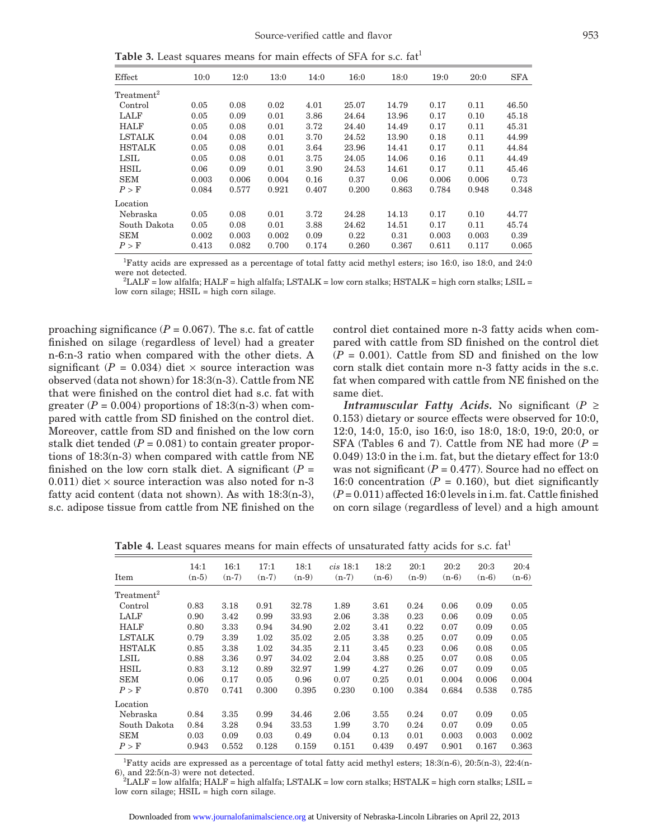**Table 3.** Least squares means for main effects of SFA for s.c. fat<sup>1</sup>

| Effect                 | 10:0  | 12:0  | 13:0  | 14:0  | 16:0  | 18:0  | 19:0  | 20:0  | <b>SFA</b> |
|------------------------|-------|-------|-------|-------|-------|-------|-------|-------|------------|
| Treatment <sup>2</sup> |       |       |       |       |       |       |       |       |            |
| Control                | 0.05  | 0.08  | 0.02  | 4.01  | 25.07 | 14.79 | 0.17  | 0.11  | 46.50      |
| LALF                   | 0.05  | 0.09  | 0.01  | 3.86  | 24.64 | 13.96 | 0.17  | 0.10  | 45.18      |
| <b>HALF</b>            | 0.05  | 0.08  | 0.01  | 3.72  | 24.40 | 14.49 | 0.17  | 0.11  | 45.31      |
| <b>LSTALK</b>          | 0.04  | 0.08  | 0.01  | 3.70  | 24.52 | 13.90 | 0.18  | 0.11  | 44.99      |
| <b>HSTALK</b>          | 0.05  | 0.08  | 0.01  | 3.64  | 23.96 | 14.41 | 0.17  | 0.11  | 44.84      |
| LSIL                   | 0.05  | 0.08  | 0.01  | 3.75  | 24.05 | 14.06 | 0.16  | 0.11  | 44.49      |
| HSIL                   | 0.06  | 0.09  | 0.01  | 3.90  | 24.53 | 14.61 | 0.17  | 0.11  | 45.46      |
| <b>SEM</b>             | 0.003 | 0.006 | 0.004 | 0.16  | 0.37  | 0.06  | 0.006 | 0.006 | 0.73       |
| P > F                  | 0.084 | 0.577 | 0.921 | 0.407 | 0.200 | 0.863 | 0.784 | 0.948 | 0.348      |
| Location               |       |       |       |       |       |       |       |       |            |
| Nebraska               | 0.05  | 0.08  | 0.01  | 3.72  | 24.28 | 14.13 | 0.17  | 0.10  | 44.77      |
| South Dakota           | 0.05  | 0.08  | 0.01  | 3.88  | 24.62 | 14.51 | 0.17  | 0.11  | 45.74      |
| <b>SEM</b>             | 0.002 | 0.003 | 0.002 | 0.09  | 0.22  | 0.31  | 0.003 | 0.003 | 0.39       |
| P > F                  | 0.413 | 0.082 | 0.700 | 0.174 | 0.260 | 0.367 | 0.611 | 0.117 | 0.065      |

1 Fatty acids are expressed as a percentage of total fatty acid methyl esters; iso 16:0, iso 18:0, and 24:0 were not detected.<br><sup>2</sup>LALF = low alfalfa; HALF = high alfalfa; LSTALK = low corn stalks; HSTALK = high corn stalks; LSIL =

low corn silage;  $HSIL = high$  corn silage.

proaching significance  $(P = 0.067)$ . The s.c. fat of cattle finished on silage (regardless of level) had a greater n-6:n-3 ratio when compared with the other diets. A significant ( $P = 0.034$ ) diet  $\times$  source interaction was observed (data not shown) for 18:3(n-3). Cattle from NE that were finished on the control diet had s.c. fat with greater  $(P = 0.004)$  proportions of 18:3(n-3) when compared with cattle from SD finished on the control diet. Moreover, cattle from SD and finished on the low corn stalk diet tended  $(P = 0.081)$  to contain greater proportions of 18:3(n-3) when compared with cattle from NE finished on the low corn stalk diet. A significant  $(P =$ 0.011) diet  $\times$  source interaction was also noted for n-3 fatty acid content (data not shown). As with 18:3(n-3), s.c. adipose tissue from cattle from NE finished on the control diet contained more n-3 fatty acids when compared with cattle from SD finished on the control diet  $(P = 0.001)$ . Cattle from SD and finished on the low corn stalk diet contain more n-3 fatty acids in the s.c. fat when compared with cattle from NE finished on the same diet.

*Intramuscular Fatty Acids.* No significant (*P* ≥ 0.153) dietary or source effects were observed for 10:0, 12:0, 14:0, 15:0, iso 16:0, iso 18:0, 18:0, 19:0, 20:0, or SFA (Tables 6 and 7). Cattle from NE had more  $(P =$ 0.049) 13:0 in the i.m. fat, but the dietary effect for 13:0 was not significant  $(P = 0.477)$ . Source had no effect on 16:0 concentration  $(P = 0.160)$ , but diet significantly  $(P = 0.011)$  affected 16:0 levels in i.m. fat. Cattle finished on corn silage (regardless of level) and a high amount

**Table 4.** Least squares means for main effects of unsaturated fatty acids for s.c. fat<sup>1</sup>

| Item                   | 14:1<br>$(n-5)$ | 16:1<br>$(n-7)$ | 17:1<br>$(n-7)$ | 18:1<br>$(n-9)$ | $cis$ 18:1<br>$(n-7)$ | 18:2<br>$(n-6)$ | 20:1<br>$(n-9)$ | 20:2<br>$(n-6)$ | 20:3<br>$(n-6)$ | 20:4<br>$(n-6)$ |
|------------------------|-----------------|-----------------|-----------------|-----------------|-----------------------|-----------------|-----------------|-----------------|-----------------|-----------------|
| Treatment <sup>2</sup> |                 |                 |                 |                 |                       |                 |                 |                 |                 |                 |
| Control                | 0.83            | 3.18            | 0.91            | 32.78           | 1.89                  | 3.61            | 0.24            | 0.06            | 0.09            | 0.05            |
| LALF                   | 0.90            | 3.42            | 0.99            | 33.93           | 2.06                  | 3.38            | 0.23            | 0.06            | 0.09            | 0.05            |
| <b>HALF</b>            | 0.80            | 3.33            | 0.94            | 34.90           | 2.02                  | 3.41            | 0.22            | 0.07            | 0.09            | 0.05            |
| <b>LSTALK</b>          | 0.79            | 3.39            | 1.02            | 35.02           | 2.05                  | 3.38            | 0.25            | 0.07            | 0.09            | 0.05            |
| <b>HSTALK</b>          | 0.85            | 3.38            | 1.02            | 34.35           | 2.11                  | 3.45            | 0.23            | 0.06            | 0.08            | 0.05            |
| LSIL                   | 0.88            | 3.36            | 0.97            | 34.02           | 2.04                  | 3.88            | 0.25            | 0.07            | 0.08            | 0.05            |
| <b>HSIL</b>            | 0.83            | 3.12            | 0.89            | 32.97           | 1.99                  | 4.27            | 0.26            | 0.07            | 0.09            | 0.05            |
| <b>SEM</b>             | 0.06            | 0.17            | 0.05            | 0.96            | 0.07                  | 0.25            | 0.01            | 0.004           | 0.006           | 0.004           |
| P > F                  | 0.870           | 0.741           | 0.300           | 0.395           | 0.230                 | 0.100           | 0.384           | 0.684           | 0.538           | 0.785           |
| Location               |                 |                 |                 |                 |                       |                 |                 |                 |                 |                 |
| Nebraska               | 0.84            | 3.35            | 0.99            | 34.46           | 2.06                  | 3.55            | 0.24            | 0.07            | 0.09            | 0.05            |
| South Dakota           | 0.84            | 3.28            | 0.94            | 33.53           | 1.99                  | 3.70            | 0.24            | 0.07            | 0.09            | 0.05            |
| <b>SEM</b>             | 0.03            | 0.09            | 0.03            | 0.49            | 0.04                  | 0.13            | 0.01            | 0.003           | 0.003           | 0.002           |
| P > F                  | 0.943           | 0.552           | 0.128           | 0.159           | 0.151                 | 0.439           | 0.497           | 0.901           | 0.167           | 0.363           |

<sup>1</sup>Fatty acids are expressed as a percentage of total fatty acid methyl esters; 18:3(n-6), 20:5(n-3), 22:4(n-6), and  $22:5(n-3)$  were not detected.

 $^2\rm{LALF}$  = low alfalfa; HALF = high alfalfa; LSTALK = low corn stalks; HSTALK = high corn stalks; LSIL = low corn silage; HSIL = high corn silage.

Downloaded from [www.journalofanimalscience.org](http://www.journalofanimalscience.org/) at University of Nebraska-Lincoln Libraries on April 22, 2013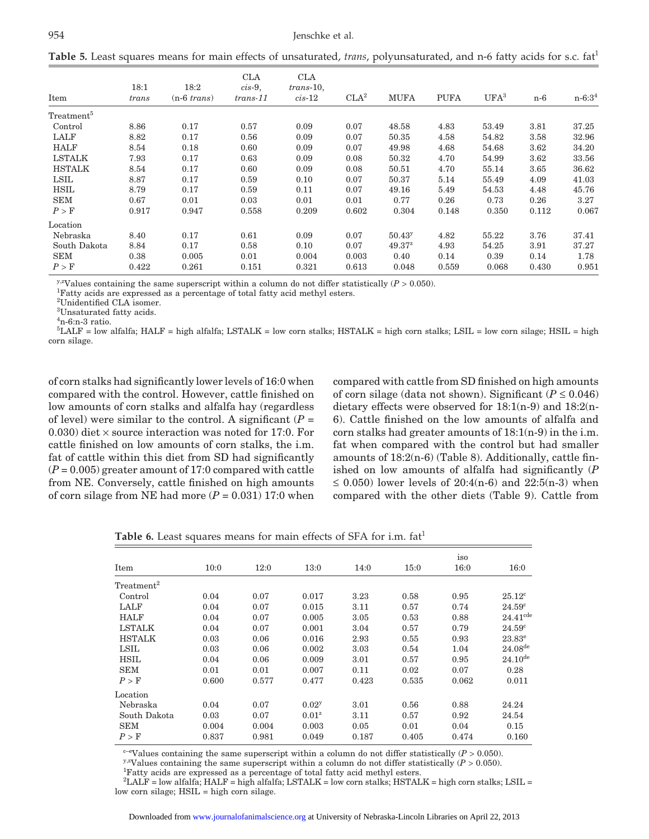**Table 5.** Least squares means for main effects of unsaturated, *trans*, polyunsaturated, and n-6 fatty acids for s.c. fat<sup>1</sup>

| Item                                          | 18:1<br>trans | 18:2<br>$(n-6 \; trans)$ | <b>CLA</b><br>$cis-9$ ,<br>$trans-11$ | <b>CLA</b><br>$trans-10$ ,<br>$cis-12$ | CLA <sup>2</sup> | <b>MUFA</b> | <b>PUFA</b> | $UFA^3$ | n-6   | $n - 6:3^4$ |
|-----------------------------------------------|---------------|--------------------------|---------------------------------------|----------------------------------------|------------------|-------------|-------------|---------|-------|-------------|
| $\operatorname{Treatment}^{\operatorname{o}}$ |               |                          |                                       |                                        |                  |             |             |         |       |             |
| Control                                       | 8.86          | 0.17                     | 0.57                                  | 0.09                                   | 0.07             | 48.58       | 4.83        | 53.49   | 3.81  | 37.25       |
| LALF                                          | 8.82          | 0.17                     | 0.56                                  | 0.09                                   | 0.07             | 50.35       | 4.58        | 54.82   | 3.58  | 32.96       |
| <b>HALF</b>                                   | 8.54          | 0.18                     | 0.60                                  | 0.09                                   | 0.07             | 49.98       | 4.68        | 54.68   | 3.62  | 34.20       |
| <b>LSTALK</b>                                 | 7.93          | 0.17                     | 0.63                                  | 0.09                                   | 0.08             | 50.32       | 4.70        | 54.99   | 3.62  | 33.56       |
| <b>HSTALK</b>                                 | 8.54          | 0.17                     | 0.60                                  | 0.09                                   | 0.08             | 50.51       | 4.70        | 55.14   | 3.65  | 36.62       |
| LSIL                                          | 8.87          | 0.17                     | 0.59                                  | 0.10                                   | 0.07             | 50.37       | 5.14        | 55.49   | 4.09  | 41.03       |
| HSIL                                          | 8.79          | 0.17                     | 0.59                                  | 0.11                                   | 0.07             | 49.16       | 5.49        | 54.53   | 4.48  | 45.76       |
| <b>SEM</b>                                    | 0.67          | 0.01                     | 0.03                                  | 0.01                                   | 0.01             | 0.77        | 0.26        | 0.73    | 0.26  | 3.27        |
| P > F                                         | 0.917         | 0.947                    | 0.558                                 | 0.209                                  | 0.602            | 0.304       | 0.148       | 0.350   | 0.112 | 0.067       |
| Location                                      |               |                          |                                       |                                        |                  |             |             |         |       |             |
| Nebraska                                      | 8.40          | 0.17                     | 0.61                                  | 0.09                                   | 0.07             | $50.43^{y}$ | 4.82        | 55.22   | 3.76  | 37.41       |
| South Dakota                                  | 8.84          | 0.17                     | 0.58                                  | 0.10                                   | 0.07             | $49.37^{2}$ | 4.93        | 54.25   | 3.91  | 37.27       |
| <b>SEM</b>                                    | 0.38          | 0.005                    | 0.01                                  | 0.004                                  | 0.003            | 0.40        | 0.14        | 0.39    | 0.14  | 1.78        |
| P > F                                         | 0.422         | 0.261                    | 0.151                                 | 0.321                                  | 0.613            | 0.048       | 0.559       | 0.068   | 0.430 | 0.951       |

 $y$ -*x*Values containing the same superscript within a column do not differ statistically (*P* > 0.050).

Fatty acids are expressed as a percentage of total fatty acid methyl esters.

2 Unidentified CLA isomer.

3 Unsaturated fatty acids.

 $4n-6$ :n-3 ratio.

 $^{5}$ LALF = low alfalfa; HALF = high alfalfa; LSTALK = low corn stalks; HSTALK = high corn stalks; LSIL = low corn silage; HSIL = high corn silage.

of corn stalks had significantly lower levels of 16:0 when compared with the control. However, cattle finished on low amounts of corn stalks and alfalfa hay (regardless of level) were similar to the control. A significant  $(P =$ 0.030) diet  $\times$  source interaction was noted for 17:0. For cattle finished on low amounts of corn stalks, the i.m. fat of cattle within this diet from SD had significantly (*P* = 0.005) greater amount of 17:0 compared with cattle from NE. Conversely, cattle finished on high amounts of corn silage from NE had more  $(P = 0.031)$  17:0 when compared with cattle from SD finished on high amounts of corn silage (data not shown). Significant  $(P \le 0.046)$ dietary effects were observed for 18:1(n-9) and 18:2(n-6). Cattle finished on the low amounts of alfalfa and corn stalks had greater amounts of 18:1(n-9) in the i.m. fat when compared with the control but had smaller amounts of 18:2(n-6) (Table 8). Additionally, cattle finished on low amounts of alfalfa had significantly (*P* ≤ 0.050) lower levels of 20:4(n-6) and 22:5(n-3) when compared with the other diets (Table 9). Cattle from

**Table 6.** Least squares means for main effects of SFA for i.m. fat<sup>1</sup>

|                        |       |       |                   |       |       | iso   |                      |
|------------------------|-------|-------|-------------------|-------|-------|-------|----------------------|
| Item                   | 10:0  | 12:0  | 13:0              | 14:0  | 15:0  | 16:0  | 16:0                 |
| Treatment <sup>2</sup> |       |       |                   |       |       |       |                      |
| Control                | 0.04  | 0.07  | 0.017             | 3.23  | 0.58  | 0.95  | $25.12^{\circ}$      |
| LALF                   | 0.04  | 0.07  | 0.015             | 3.11  | 0.57  | 0.74  | $24.59^\circ$        |
| <b>HALF</b>            | 0.04  | 0.07  | 0.005             | 3.05  | 0.53  | 0.88  | $24.41^{\text{cde}}$ |
| <b>LSTALK</b>          | 0.04  | 0.07  | 0.001             | 3.04  | 0.57  | 0.79  | 24.59 <sup>c</sup>   |
| <b>HSTALK</b>          | 0.03  | 0.06  | 0.016             | 2.93  | 0.55  | 0.93  | $23.83^{\circ}$      |
| LSIL                   | 0.03  | 0.06  | 0.002             | 3.03  | 0.54  | 1.04  | $24.08^{de}$         |
| <b>HSIL</b>            | 0.04  | 0.06  | 0.009             | 3.01  | 0.57  | 0.95  | $24.10^{de}$         |
| <b>SEM</b>             | 0.01  | 0.01  | 0.007             | 0.11  | 0.02  | 0.07  | 0.28                 |
| P > F                  | 0.600 | 0.577 | 0.477             | 0.423 | 0.535 | 0.062 | 0.011                |
| $\rm Location$         |       |       |                   |       |       |       |                      |
| Nebraska               | 0.04  | 0.07  | 0.02 <sup>y</sup> | 3.01  | 0.56  | 0.88  | 24.24                |
| South Dakota           | 0.03  | 0.07  | 0.01 <sup>z</sup> | 3.11  | 0.57  | 0.92  | 24.54                |
| <b>SEM</b>             | 0.004 | 0.004 | 0.003             | 0.05  | 0.01  | 0.04  | 0.15                 |
| P > F                  | 0.837 | 0.981 | 0.049             | 0.187 | 0.405 | 0.474 | 0.160                |

<sup>c–e</sup>Values containing the same superscript within a column do not differ statistically (*P* > 0.050). *y*,<sup>*x*</sup>Values containing the same superscript within a column do not differ statistically (*P* > 0.050).

Fatty acids are expressed as a percentage of total fatty acid methyl esters.

 $^2\rm{LALF}$  = low alfalfa; HALF = high alfalfa; LSTALK = low corn stalks; HSTALK = high corn stalks; LSIL = low corn silage; HSIL = high corn silage.

Downloaded from [www.journalofanimalscience.org](http://www.journalofanimalscience.org/) at University of Nebraska-Lincoln Libraries on April 22, 2013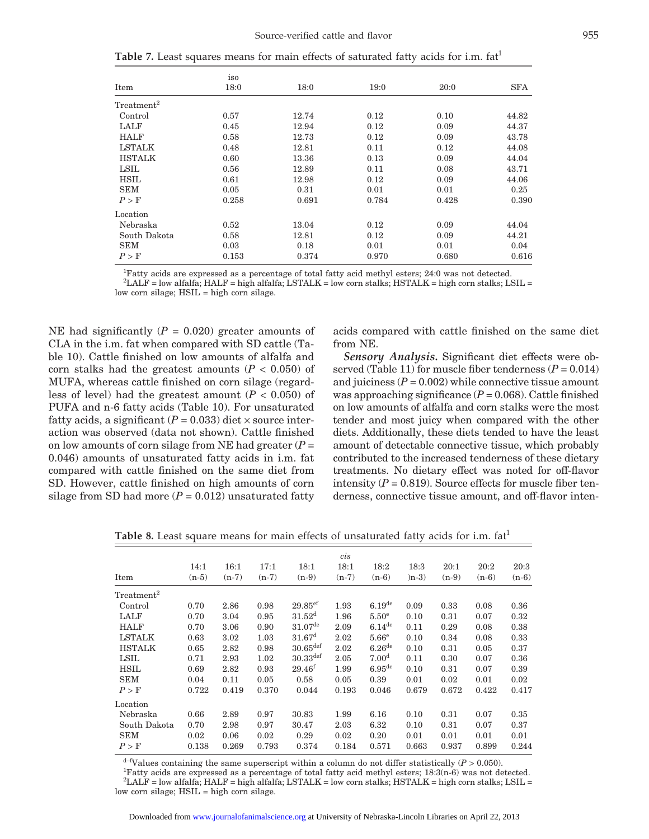**Table 7.** Least squares means for main effects of saturated fatty acids for i.m. fat<sup>1</sup>

| Item                   | iso<br>18:0 | 18:0  | 19:0  | 20:0  | <b>SFA</b> |
|------------------------|-------------|-------|-------|-------|------------|
|                        |             |       |       |       |            |
| Treatment <sup>2</sup> |             |       |       |       |            |
| Control                | 0.57        | 12.74 | 0.12  | 0.10  | 44.82      |
| LALF                   | 0.45        | 12.94 | 0.12  | 0.09  | 44.37      |
| <b>HALF</b>            | 0.58        | 12.73 | 0.12  | 0.09  | 43.78      |
| <b>LSTALK</b>          | 0.48        | 12.81 | 0.11  | 0.12  | 44.08      |
| <b>HSTALK</b>          | 0.60        | 13.36 | 0.13  | 0.09  | 44.04      |
| LSIL                   | 0.56        | 12.89 | 0.11  | 0.08  | 43.71      |
| <b>HSIL</b>            | 0.61        | 12.98 | 0.12  | 0.09  | 44.06      |
| <b>SEM</b>             | 0.05        | 0.31  | 0.01  | 0.01  | 0.25       |
| P > F                  | 0.258       | 0.691 | 0.784 | 0.428 | 0.390      |
| Location               |             |       |       |       |            |
| Nebraska               | 0.52        | 13.04 | 0.12  | 0.09  | 44.04      |
| South Dakota           | 0.58        | 12.81 | 0.12  | 0.09  | 44.21      |
| <b>SEM</b>             | 0.03        | 0.18  | 0.01  | 0.01  | 0.04       |
| P > F                  | 0.153       | 0.374 | 0.970 | 0.680 | 0.616      |

1 Fatty acids are expressed as a percentage of total fatty acid methyl esters; 24:0 was not detected.

 $^2\rm{LALF}$  = low alfalfa;  $\rm{HALF}$  = high alfalfa;  $\rm{LSTALK}$  = low corn stalks;  $\rm{HSTALK}$  = high corn stalks;  $\rm{LSIL}$  = low corn silage; HSIL = high corn silage.

NE had significantly  $(P = 0.020)$  greater amounts of CLA in the i.m. fat when compared with SD cattle (Table 10). Cattle finished on low amounts of alfalfa and corn stalks had the greatest amounts  $(P < 0.050)$  of MUFA, whereas cattle finished on corn silage (regardless of level) had the greatest amount  $(P < 0.050)$  of PUFA and n-6 fatty acids (Table 10). For unsaturated fatty acids, a significant  $(P = 0.033)$  diet  $\times$  source interaction was observed (data not shown). Cattle finished on low amounts of corn silage from NE had greater  $(P =$ 0.046) amounts of unsaturated fatty acids in i.m. fat compared with cattle finished on the same diet from SD. However, cattle finished on high amounts of corn silage from SD had more  $(P = 0.012)$  unsaturated fatty acids compared with cattle finished on the same diet from NE.

*Sensory Analysis.* Significant diet effects were observed (Table 11) for muscle fiber tenderness  $(P = 0.014)$ and juiciness  $(P = 0.002)$  while connective tissue amount was approaching significance  $(P = 0.068)$ . Cattle finished on low amounts of alfalfa and corn stalks were the most tender and most juicy when compared with the other diets. Additionally, these diets tended to have the least amount of detectable connective tissue, which probably contributed to the increased tenderness of these dietary treatments. No dietary effect was noted for off-flavor intensity  $(P = 0.819)$ . Source effects for muscle fiber tenderness, connective tissue amount, and off-flavor inten-

|                        |         |         |         |                        | $\dot{cis}$ |                      |         |         |         |         |
|------------------------|---------|---------|---------|------------------------|-------------|----------------------|---------|---------|---------|---------|
|                        | 14:1    | 16:1    | 17:1    | 18:1                   | 18:1        | 18:2                 | 18:3    | 20:1    | 20:2    | 20:3    |
| Item                   | $(n-5)$ | $(n-7)$ | $(n-7)$ | $(n-9)$                | $(n-7)$     | $(n-6)$              | $(n-3)$ | $(n-9)$ | $(n-6)$ | $(n-6)$ |
| Treatment <sup>2</sup> |         |         |         |                        |             |                      |         |         |         |         |
| Control                | 0.70    | 2.86    | 0.98    | $29.85$ <sup>ef</sup>  | 1.93        | 6.19 <sup>de</sup>   | 0.09    | 0.33    | 0.08    | 0.36    |
| LALF                   | 0.70    | 3.04    | 0.95    | $31.52^{\rm d}$        | 1.96        | 5.50 <sup>e</sup>    | 0.10    | 0.31    | 0.07    | 0.32    |
| <b>HALF</b>            | 0.70    | 3.06    | 0.90    | $31.07^{\text{de}}$    | 2.09        | $6.14$ <sup>de</sup> | 0.11    | 0.29    | 0.08    | 0.38    |
| <b>LSTALK</b>          | 0.63    | 3.02    | 1.03    | 31.67 <sup>d</sup>     | 2.02        | 5.66e                | 0.10    | 0.34    | 0.08    | 0.33    |
| <b>HSTALK</b>          | 0.65    | 2.82    | 0.98    | $30.65$ <sup>def</sup> | 2.02        | $6.26$ <sup>de</sup> | 0.10    | 0.31    | 0.05    | 0.37    |
| LSIL                   | 0.71    | 2.93    | 1.02    | $30.33$ <sup>def</sup> | 2.05        | 7.00 <sup>d</sup>    | 0.11    | 0.30    | 0.07    | 0.36    |
| <b>HSIL</b>            | 0.69    | 2.82    | 0.93    | 29.46 <sup>f</sup>     | 1.99        | $6.95$ <sup>de</sup> | 0.10    | 0.31    | 0.07    | 0.39    |
| <b>SEM</b>             | 0.04    | 0.11    | 0.05    | 0.58                   | 0.05        | 0.39                 | 0.01    | 0.02    | 0.01    | 0.02    |
| P > F                  | 0.722   | 0.419   | 0.370   | 0.044                  | 0.193       | 0.046                | 0.679   | 0.672   | 0.422   | 0.417   |
| Location               |         |         |         |                        |             |                      |         |         |         |         |
| Nebraska               | 0.66    | 2.89    | 0.97    | 30.83                  | 1.99        | 6.16                 | 0.10    | 0.31    | 0.07    | 0.35    |
| South Dakota           | 0.70    | 2.98    | 0.97    | 30.47                  | 2.03        | 6.32                 | 0.10    | 0.31    | 0.07    | 0.37    |
| <b>SEM</b>             | 0.02    | 0.06    | 0.02    | 0.29                   | 0.02        | 0.20                 | 0.01    | 0.01    | 0.01    | 0.01    |
| P > F                  | 0.138   | 0.269   | 0.793   | 0.374                  | 0.184       | 0.571                | 0.663   | 0.937   | 0.899   | 0.244   |

**Table 8.** Least square means for main effects of unsaturated fatty acids for i.m. fat<sup>1</sup>

 $d$ -fValues containing the same superscript within a column do not differ statistically ( $P > 0.050$ ).

Fatty acids are expressed as a percentage of total fatty acid methyl esters; 18:3(n-6) was not detected.  $^2\rm{LALF}$  = low alfalfa; HALF = high alfalfa; LSTALK = low corn stalks; HSTALK = high corn stalks; LSIL = low corn silage; HSIL = high corn silage.

Downloaded from [www.journalofanimalscience.org](http://www.journalofanimalscience.org/) at University of Nebraska-Lincoln Libraries on April 22, 2013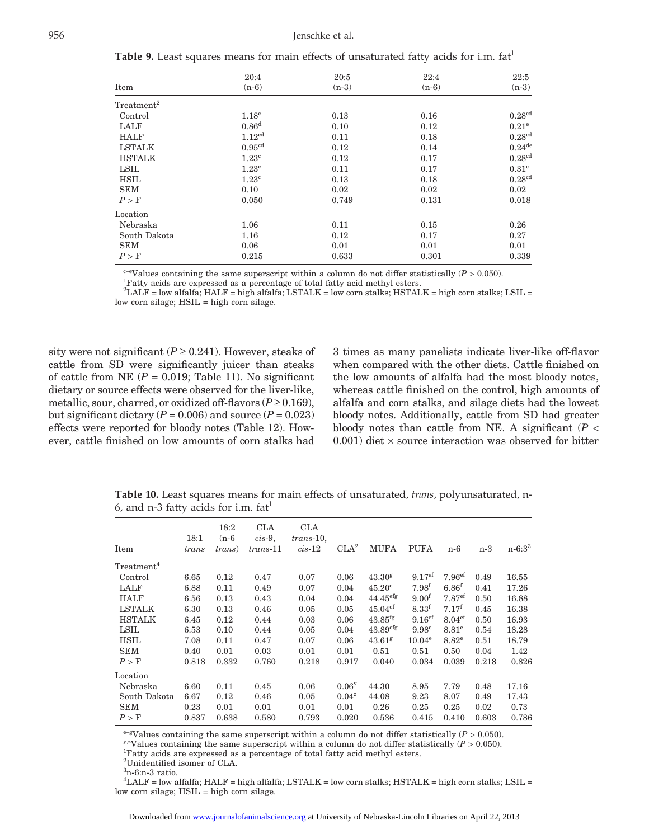**Table 9.** Least squares means for main effects of unsaturated fatty acids for i.m. fat<sup>1</sup>

|                          | 20:4               | 20:5    | 22:4    | 22:5                 |
|--------------------------|--------------------|---------|---------|----------------------|
| Item                     | $(n-6)$            | $(n-3)$ | $(n-6)$ | $(n-3)$              |
| $\mathrm{Treatment}^{2}$ |                    |         |         |                      |
| Control                  | 1.18 <sup>c</sup>  | 0.13    | 0.16    | 0.28 <sup>cd</sup>   |
| LALF                     | 0.86 <sup>d</sup>  | 0.10    | 0.12    | 0.21 <sup>e</sup>    |
| <b>HALF</b>              | 1.12 <sup>cd</sup> | 0.11    | 0.18    | $0.28$ <sup>cd</sup> |
| <b>LSTALK</b>            | 0.95 <sup>cd</sup> | 0.12    | 0.14    | 0.24 <sup>de</sup>   |
| <b>HSTALK</b>            | $1.23^{\circ}$     | 0.12    | 0.17    | 0.28 <sup>cd</sup>   |
| LSIL                     | $1.23^{\circ}$     | 0.11    | 0.17    | 0.31 <sup>c</sup>    |
| <b>HSIL</b>              | 1.23 <sup>c</sup>  | 0.13    | 0.18    | 0.28 <sup>cd</sup>   |
| <b>SEM</b>               | 0.10               | 0.02    | 0.02    | 0.02                 |
| P > F                    | 0.050              | 0.749   | 0.131   | 0.018                |
| $_{\rm Location}$        |                    |         |         |                      |
| Nebraska                 | 1.06               | 0.11    | 0.15    | 0.26                 |
| South Dakota             | 1.16               | 0.12    | 0.17    | 0.27                 |
| <b>SEM</b>               | 0.06               | 0.01    | 0.01    | 0.01                 |
| P > F                    | 0.215              | 0.633   | 0.301   | 0.339                |
|                          |                    |         |         |                      |

 $c$ <sup>-e</sup>Values containing the same superscript within a column do not differ statistically ( $P > 0.050$ ).

Fatty acids are expressed as a percentage of total fatty acid methyl esters.

 $^2\rm{LALF}$  = low alfalfa; HALF = high alfalfa; LSTALK = low corn stalks; HSTALK = high corn stalks; LSIL = low corn silage; HSIL = high corn silage.

sity were not significant ( $P \ge 0.241$ ). However, steaks of cattle from SD were significantly juicer than steaks of cattle from NE  $(P = 0.019$ ; Table 11). No significant dietary or source effects were observed for the liver-like, metallic, sour, charred, or oxidized off-flavors  $(P \ge 0.169)$ , but significant dietary  $(P = 0.006)$  and source  $(P = 0.023)$ effects were reported for bloody notes (Table 12). However, cattle finished on low amounts of corn stalks had 3 times as many panelists indicate liver-like off-flavor when compared with the other diets. Cattle finished on the low amounts of alfalfa had the most bloody notes, whereas cattle finished on the control, high amounts of alfalfa and corn stalks, and silage diets had the lowest bloody notes. Additionally, cattle from SD had greater bloody notes than cattle from NE. A significant  $(P <$ 0.001) diet  $\times$  source interaction was observed for bitter

**Table 10.** Least squares means for main effects of unsaturated, *trans*, polyunsaturated, n-6, and n-3 fatty acids for i.m.  $fat<sup>1</sup>$ 

| Item                   | 18:1<br>trans | 18:2<br>$(n-6)$<br><i>trans</i> ) | <b>CLA</b><br>$cis-9$ ,<br>$trans-11$ | <b>CLA</b><br>$trans-10$ ,<br>$cis-12$ | CLA <sup>2</sup>  | MUFA                   | <b>PUFA</b>        | $n-6$              | n-3   | $n - 6:3^3$ |
|------------------------|---------------|-----------------------------------|---------------------------------------|----------------------------------------|-------------------|------------------------|--------------------|--------------------|-------|-------------|
| Treatment <sup>4</sup> |               |                                   |                                       |                                        |                   |                        |                    |                    |       |             |
| Control                | 6.65          | 0.12                              | 0.47                                  | 0.07                                   | 0.06              | 43.30 <sup>g</sup>     | 9.17 <sup>ef</sup> | 7.96 <sup>ef</sup> | 0.49  | 16.55       |
| LALF                   | 6.88          | 0.11                              | 0.49                                  | 0.07                                   | 0.04              | $45.20^{\circ}$        | $7.98^{f}$         | 6.86 <sup>f</sup>  | 0.41  | 17.26       |
| <b>HALF</b>            | 6.56          | 0.13                              | 0.43                                  | 0.04                                   | 0.04              | $44.45$ <sup>efg</sup> | 9.00 <sup>f</sup>  | 7.87 <sup>ef</sup> | 0.50  | 16.88       |
| <b>LSTALK</b>          | 6.30          | 0.13                              | 0.46                                  | 0.05                                   | 0.05              | $45.04$ <sup>ef</sup>  | 8.33 <sup>f</sup>  | $7.17^{\rm f}$     | 0.45  | 16.38       |
| <b>HSTALK</b>          | 6.45          | 0.12                              | 0.44                                  | 0.03                                   | 0.06              | $43.85$ <sup>fg</sup>  | 9.16 <sup>ef</sup> | 8.04 <sup>ef</sup> | 0.50  | 16.93       |
| LSIL                   | 6.53          | 0.10                              | 0.44                                  | 0.05                                   | 0.04              | 43.89 <sup>efg</sup>   | 9.98 <sup>e</sup>  | $8.81^\mathrm{e}$  | 0.54  | 18.28       |
| <b>HSIL</b>            | 7.08          | 0.11                              | 0.47                                  | 0.07                                   | 0.06              | $43.61$ <sup>g</sup>   | $10.04^{\circ}$    | $8.82^e$           | 0.51  | 18.79       |
| <b>SEM</b>             | 0.40          | 0.01                              | 0.03                                  | 0.01                                   | 0.01              | 0.51                   | 0.51               | 0.50               | 0.04  | 1.42        |
| P > F                  | 0.818         | 0.332                             | 0.760                                 | 0.218                                  | 0.917             | 0.040                  | 0.034              | 0.039              | 0.218 | 0.826       |
| Location               |               |                                   |                                       |                                        |                   |                        |                    |                    |       |             |
| Nebraska               | 6.60          | 0.11                              | 0.45                                  | 0.06                                   | 0.06 <sup>y</sup> | 44.30                  | 8.95               | 7.79               | 0.48  | 17.16       |
| South Dakota           | 6.67          | 0.12                              | 0.46                                  | 0.05                                   | $0.04^z$          | 44.08                  | 9.23               | 8.07               | 0.49  | 17.43       |
| <b>SEM</b>             | 0.23          | 0.01                              | 0.01                                  | 0.01                                   | 0.01              | 0.26                   | 0.25               | 0.25               | 0.02  | 0.73        |
| P > F                  | 0.837         | 0.638                             | 0.580                                 | 0.793                                  | 0.020             | 0.536                  | 0.415              | 0.410              | 0.603 | 0.786       |

<sup>e–g</sup>Values containing the same superscript within a column do not differ statistically (*P* > 0.050). y,<sup>z</sup>Values containing the same superscript within a column do not differ statistically (*P* > 0.050).

Fatty acids are expressed as a percentage of total fatty acid methyl esters.

2 Unidentified isomer of CLA.

 $3n-6$ :n-3 ratio.

4 LALF = low alfalfa; HALF = high alfalfa; LSTALK = low corn stalks; HSTALK = high corn stalks; LSIL = low corn silage; HSIL = high corn silage.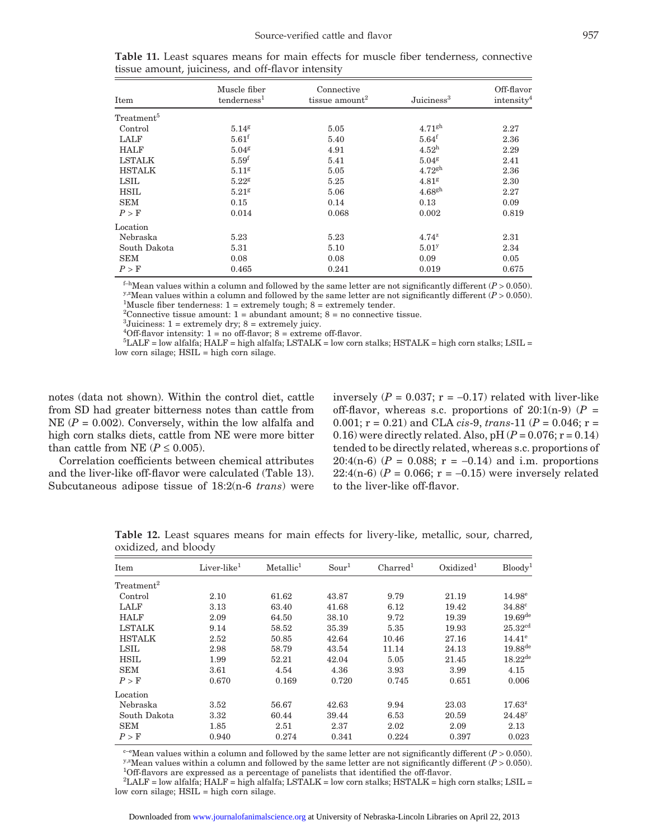| Item                   | Muscle fiber<br>$t$ enderness <sup>1</sup> | Connective<br>tissue amount <sup>2</sup> | Juiciness <sup>3</sup> | Off-flavor<br>intensity <sup>4</sup> |
|------------------------|--------------------------------------------|------------------------------------------|------------------------|--------------------------------------|
| Treatment <sup>5</sup> |                                            |                                          |                        |                                      |
| Control                | 5.14 <sup>g</sup>                          | 5.05                                     | 4.71 <sup>gh</sup>     | 2.27                                 |
| LALF                   | $5.61$ <sup>f</sup>                        | 5.40                                     | $5.64$ <sup>f</sup>    | 2.36                                 |
| <b>HALF</b>            | 5.04 <sup>g</sup>                          | 4.91                                     | $4.52^{\rm h}$         | 2.29                                 |
| <b>LSTALK</b>          | 5.59 <sup>f</sup>                          | 5.41                                     | $5.04$ <sup>g</sup>    | 2.41                                 |
| <b>HSTALK</b>          | 5.11 <sup>g</sup>                          | 5.05                                     | 4.72 <sup>gh</sup>     | 2.36                                 |
| LSIL                   | $5.22$ <sup>g</sup>                        | 5.25                                     | 4.81 <sup>g</sup>      | 2.30                                 |
| HSIL                   | $5.21$ g                                   | 5.06                                     | 4.68 <sup>gh</sup>     | 2.27                                 |
| <b>SEM</b>             | 0.15                                       | 0.14                                     | 0.13                   | 0.09                                 |
| P > F                  | 0.014                                      | 0.068                                    | 0.002                  | 0.819                                |
| Location               |                                            |                                          |                        |                                      |
| Nebraska               | 5.23                                       | 5.23                                     | $4.74^{z}$             | 2.31                                 |
| South Dakota           | 5.31                                       | 5.10                                     | 5.01 <sup>y</sup>      | 2.34                                 |
| <b>SEM</b>             | 0.08                                       | 0.08                                     | 0.09                   | 0.05                                 |
| P > F                  | 0.465                                      | 0.241                                    | 0.019                  | 0.675                                |

|  |                                                    |  |  |  | <b>Table 11.</b> Least squares means for main effects for muscle fiber tenderness, connective |  |
|--|----------------------------------------------------|--|--|--|-----------------------------------------------------------------------------------------------|--|
|  | tissue amount, juiciness, and off-flavor intensity |  |  |  |                                                                                               |  |

<sup>f-h</sup>Mean values within a column and followed by the same letter are not significantly different ( $P > 0.050$ ).<br><sup>y,z</sup>Mean values within a column and followed by the same letter are not significantly different ( $P > 0.050$ ).

<sup>1</sup>Muscle fiber tenderness:  $1 =$  extremely tough;  $8 =$  extremely tender.

<sup>2</sup>Connective tissue amount:  $1 =$  abundant amount;  $8 =$  no connective tissue.

 ${}^{3}$ Juiciness: 1 = extremely dry; 8 = extremely juicy.

<sup>4</sup>Off-flavor intensity: 1 = no off-flavor; 8 = extreme off-flavor.<br><sup>5</sup>LALE – low olfolfo: HALE – bigh olfolfo: LSTALE – low corn

 ${}^{5}$ LALF = low alfalfa; HALF = high alfalfa; LSTALK = low corn stalks; HSTALK = high corn stalks; LSIL = low corn silage;  $HSIL = high$  corn silage.

notes (data not shown). Within the control diet, cattle from SD had greater bitterness notes than cattle from NE  $(P = 0.002)$ . Conversely, within the low alfalfa and high corn stalks diets, cattle from NE were more bitter than cattle from NE ( $P \le 0.005$ ).

Correlation coefficients between chemical attributes and the liver-like off-flavor were calculated (Table 13). Subcutaneous adipose tissue of 18:2(n-6 *trans*) were inversely  $(P = 0.037; r = -0.17)$  related with liver-like off-flavor, whereas s.c. proportions of  $20:1(n-9)$  ( $P =$ 0.001; r = 0.21) and CLA *cis*-9, *trans*-11 (*P* = 0.046; r = 0.16) were directly related. Also, pH $(P = 0.076; r = 0.14)$ tended to be directly related, whereas s.c. proportions of 20:4(n-6) ( $P = 0.088$ ;  $r = -0.14$ ) and i.m. proportions 22:4(n-6)  $(P = 0.066; r = -0.15)$  were inversely related to the liver-like off-flavor.

| Item                   | Liver-like <sup>1</sup> | Metallic <sup>1</sup> | Sour <sup>1</sup> | Charred <sup>1</sup> | Oxidized <sup>1</sup> | Bloodv <sup>1</sup> |
|------------------------|-------------------------|-----------------------|-------------------|----------------------|-----------------------|---------------------|
| Treatment <sup>2</sup> |                         |                       |                   |                      |                       |                     |
| Control                | 2.10                    | 61.62                 | 43.87             | 9.79                 | 21.19                 | $14.98^{\rm e}$     |
| LALF                   | 3.13                    | 63.40                 | 41.68             | 6.12                 | 19.42                 | 34.88 <sup>c</sup>  |
| <b>HALF</b>            | 2.09                    | 64.50                 | 38.10             | 9.72                 | 19.39                 | $19.69^{de}$        |
| <b>LSTALK</b>          | 9.14                    | 58.52                 | 35.39             | 5.35                 | 19.93                 | 25.32 <sup>cd</sup> |
| <b>HSTALK</b>          | 2.52                    | 50.85                 | 42.64             | 10.46                | 27.16                 | $14.41^{\circ}$     |
| LSIL                   | 2.98                    | 58.79                 | 43.54             | 11.14                | 24.13                 | $19.88^{de}$        |
| <b>HSIL</b>            | 1.99                    | 52.21                 | 42.04             | 5.05                 | 21.45                 | $18.22^{de}$        |
| <b>SEM</b>             | 3.61                    | 4.54                  | 4.36              | 3.93                 | 3.99                  | 4.15                |
| P > F                  | 0.670                   | 0.169                 | 0.720             | 0.745                | 0.651                 | 0.006               |
| Location               |                         |                       |                   |                      |                       |                     |
| Nebraska               | 3.52                    | 56.67                 | 42.63             | 9.94                 | 23.03                 | $17.63^z$           |
| South Dakota           | 3.32                    | 60.44                 | 39.44             | 6.53                 | 20.59                 | $24.48^y$           |
| <b>SEM</b>             | 1.85                    | 2.51                  | 2.37              | 2.02                 | 2.09                  | 2.13                |
| P > F                  | 0.940                   | 0.274                 | 0.341             | 0.224                | 0.397                 | 0.023               |

**Table 12.** Least squares means for main effects for livery-like, metallic, sour, charred, oxidized, and bloody

<sup>e-e</sup>Mean values within a column and followed by the same letter are not significantly different ( $P > 0.050$ ).<br><sup>y,z</sup>Mean values within a column and followed by the same letter are not significantly different ( $P > 0.050$ ). <sup>1</sup>Off-flavors are expressed as a percentage of panelists that identified the off-flavor.

 $^2\rm{LALF}$  = low alfalfa; HALF = high alfalfa; LSTALK = low corn stalks; HSTALK = high corn stalks; LSIL = low corn silage; HSIL = high corn silage.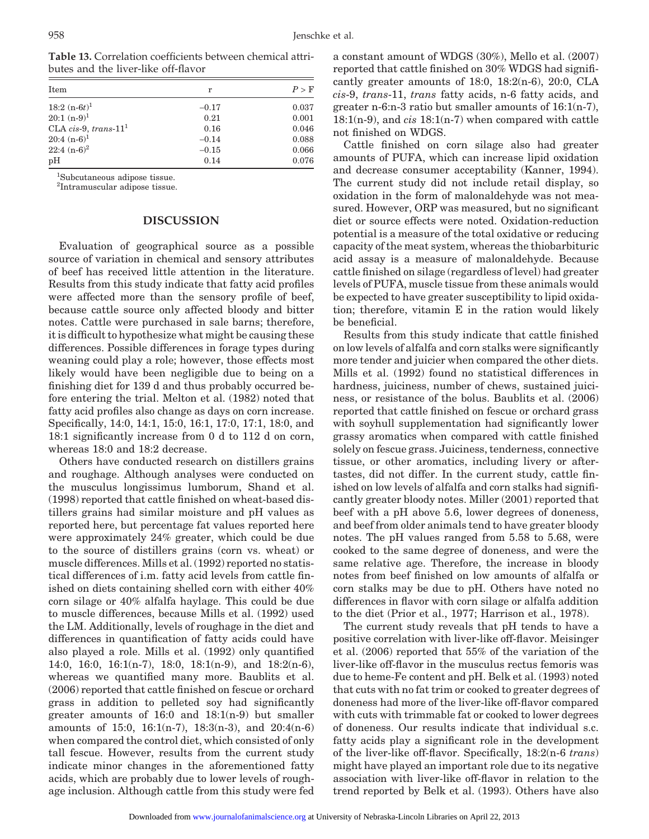| butes and the liver-like off-flavor                               |  |
|-------------------------------------------------------------------|--|
| <b>Table 13.</b> Correlation coefficients between chemical attri- |  |

| Item                    | r       | P > F |
|-------------------------|---------|-------|
| $18:2(n-6t)^1$          | $-0.17$ | 0.037 |
| $20:1(n-9)^1$           | 0.21    | 0.001 |
| CLA cis-9, trans- $111$ | 0.16    | 0.046 |
| $20:4(n-6)^1$           | $-0.14$ | 0.088 |
| $22:4(n-6)^2$           | $-0.15$ | 0.066 |
| pH                      | 0.14    | 0.076 |

1 Subcutaneous adipose tissue.

2 Intramuscular adipose tissue.

### **DISCUSSION**

Evaluation of geographical source as a possible source of variation in chemical and sensory attributes of beef has received little attention in the literature. Results from this study indicate that fatty acid profiles were affected more than the sensory profile of beef, because cattle source only affected bloody and bitter notes. Cattle were purchased in sale barns; therefore, it is difficult to hypothesize what might be causing these differences. Possible differences in forage types during weaning could play a role; however, those effects most likely would have been negligible due to being on a finishing diet for 139 d and thus probably occurred before entering the trial. Melton et al. (1982) noted that fatty acid profiles also change as days on corn increase. Specifically, 14:0, 14:1, 15:0, 16:1, 17:0, 17:1, 18:0, and 18:1 significantly increase from 0 d to 112 d on corn, whereas 18:0 and 18:2 decrease.

Others have conducted research on distillers grains and roughage. Although analyses were conducted on the musculus longissimus lumborum, Shand et al. (1998) reported that cattle finished on wheat-based distillers grains had similar moisture and pH values as reported here, but percentage fat values reported here were approximately 24% greater, which could be due to the source of distillers grains (corn vs. wheat) or muscle differences. Mills et al. (1992) reported no statistical differences of i.m. fatty acid levels from cattle finished on diets containing shelled corn with either 40% corn silage or 40% alfalfa haylage. This could be due to muscle differences, because Mills et al. (1992) used the LM. Additionally, levels of roughage in the diet and differences in quantification of fatty acids could have also played a role. Mills et al. (1992) only quantified 14:0, 16:0, 16:1(n-7), 18:0, 18:1(n-9), and 18:2(n-6), whereas we quantified many more. Baublits et al. (2006) reported that cattle finished on fescue or orchard grass in addition to pelleted soy had significantly greater amounts of 16:0 and 18:1(n-9) but smaller amounts of 15:0, 16:1(n-7), 18:3(n-3), and 20:4(n-6) when compared the control diet, which consisted of only tall fescue. However, results from the current study indicate minor changes in the aforementioned fatty acids, which are probably due to lower levels of roughage inclusion. Although cattle from this study were fed

a constant amount of WDGS (30%), Mello et al. (2007) reported that cattle finished on 30% WDGS had significantly greater amounts of 18:0, 18:2(n-6), 20:0, CLA *cis*-9, *trans*-11, *trans* fatty acids, n-6 fatty acids, and greater n-6:n-3 ratio but smaller amounts of 16:1(n-7), 18:1(n-9), and *cis* 18:1(n-7) when compared with cattle not finished on WDGS.

Cattle finished on corn silage also had greater amounts of PUFA, which can increase lipid oxidation and decrease consumer acceptability (Kanner, 1994). The current study did not include retail display, so oxidation in the form of malonaldehyde was not measured. However, ORP was measured, but no significant diet or source effects were noted. Oxidation-reduction potential is a measure of the total oxidative or reducing capacity of the meat system, whereas the thiobarbituric acid assay is a measure of malonaldehyde. Because cattle finished on silage (regardless of level) had greater levels of PUFA, muscle tissue from these animals would be expected to have greater susceptibility to lipid oxidation; therefore, vitamin E in the ration would likely be beneficial.

Results from this study indicate that cattle finished on low levels of alfalfa and corn stalks were significantly more tender and juicier when compared the other diets. Mills et al. (1992) found no statistical differences in hardness, juiciness, number of chews, sustained juiciness, or resistance of the bolus. Baublits et al. (2006) reported that cattle finished on fescue or orchard grass with soyhull supplementation had significantly lower grassy aromatics when compared with cattle finished solely on fescue grass. Juiciness, tenderness, connective tissue, or other aromatics, including livery or aftertastes, did not differ. In the current study, cattle finished on low levels of alfalfa and corn stalks had significantly greater bloody notes. Miller (2001) reported that beef with a pH above 5.6, lower degrees of doneness, and beef from older animals tend to have greater bloody notes. The pH values ranged from 5.58 to 5.68, were cooked to the same degree of doneness, and were the same relative age. Therefore, the increase in bloody notes from beef finished on low amounts of alfalfa or corn stalks may be due to pH. Others have noted no differences in flavor with corn silage or alfalfa addition to the diet (Prior et al., 1977; Harrison et al., 1978).

The current study reveals that pH tends to have a positive correlation with liver-like off-flavor. Meisinger et al. (2006) reported that 55% of the variation of the liver-like off-flavor in the musculus rectus femoris was due to heme-Fe content and pH. Belk et al. (1993) noted that cuts with no fat trim or cooked to greater degrees of doneness had more of the liver-like off-flavor compared with cuts with trimmable fat or cooked to lower degrees of doneness. Our results indicate that individual s.c. fatty acids play a significant role in the development of the liver-like off-flavor. Specifically, 18:2(n-6 *trans*) might have played an important role due to its negative association with liver-like off-flavor in relation to the trend reported by Belk et al. (1993). Others have also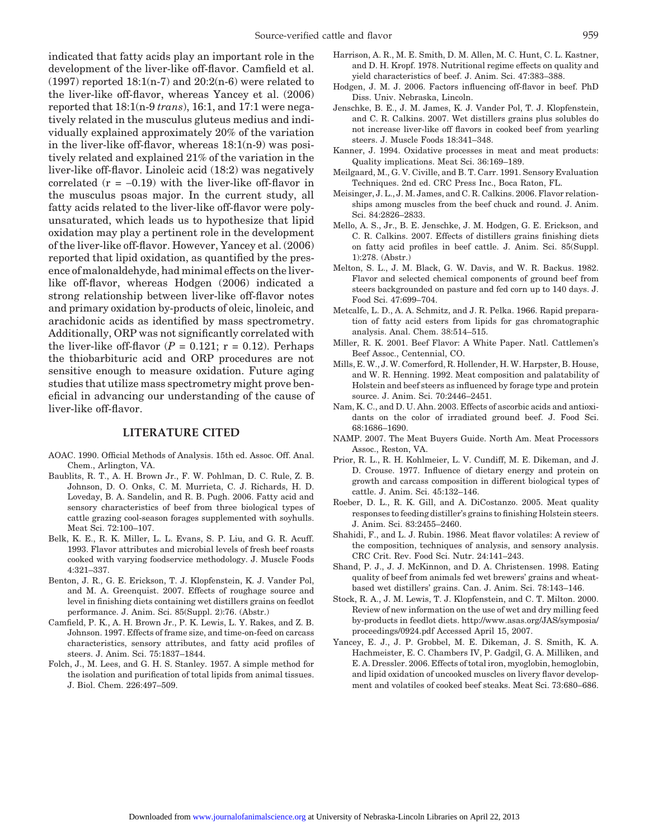indicated that fatty acids play an important role in the development of the liver-like off-flavor. Camfield et al.  $(1997)$  reported 18:1(n-7) and 20:2(n-6) were related to the liver-like off-flavor, whereas Yancey et al. (2006) reported that 18:1(n-9 *trans*), 16:1, and 17:1 were negatively related in the musculus gluteus medius and individually explained approximately 20% of the variation in the liver-like off-flavor, whereas 18:1(n-9) was positively related and explained 21% of the variation in the liver-like off-flavor. Linoleic acid (18:2) was negatively correlated  $(r = -0.19)$  with the liver-like off-flavor in the musculus psoas major. In the current study, all fatty acids related to the liver-like off-flavor were polyunsaturated, which leads us to hypothesize that lipid oxidation may play a pertinent role in the development of the liver-like off-flavor. However, Yancey et al. (2006) reported that lipid oxidation, as quantified by the presence of malonaldehyde, had minimal effects on the liverlike off-flavor, whereas Hodgen (2006) indicated a strong relationship between liver-like off-flavor notes and primary oxidation by-products of oleic, linoleic, and arachidonic acids as identified by mass spectrometry. Additionally, ORP was not significantly correlated with the liver-like off-flavor  $(P = 0.121; r = 0.12)$ . Perhaps the thiobarbituric acid and ORP procedures are not sensitive enough to measure oxidation. Future aging studies that utilize mass spectrometry might prove beneficial in advancing our understanding of the cause of liver-like off-flavor.

#### **LITERATURE CITED**

- AOAC. 1990. Official Methods of Analysis. 15th ed. Assoc. Off. Anal. Chem., Arlington, VA.
- Baublits, R. T., A. H. Brown Jr., F. W. Pohlman, D. C. Rule, Z. B. Johnson, D. O. Onks, C. M. Murrieta, C. J. Richards, H. D. Loveday, B. A. Sandelin, and R. B. Pugh. 2006. Fatty acid and sensory characteristics of beef from three biological types of cattle grazing cool-season forages supplemented with soyhulls. Meat Sci. 72:100–107.
- Belk, K. E., R. K. Miller, L. L. Evans, S. P. Liu, and G. R. Acuff. 1993. Flavor attributes and microbial levels of fresh beef roasts cooked with varying foodservice methodology. J. Muscle Foods 4:321–337.
- Benton, J. R., G. E. Erickson, T. J. Klopfenstein, K. J. Vander Pol, and M. A. Greenquist. 2007. Effects of roughage source and level in finishing diets containing wet distillers grains on feedlot performance. J. Anim. Sci. 85(Suppl. 2):76. (Abstr.)
- Camfield, P. K., A. H. Brown Jr., P. K. Lewis, L. Y. Rakes, and Z. B. Johnson. 1997. Effects of frame size, and time-on-feed on carcass characteristics, sensory attributes, and fatty acid profiles of steers. J. Anim. Sci. 75:1837–1844.
- Folch, J., M. Lees, and G. H. S. Stanley. 1957. A simple method for the isolation and purification of total lipids from animal tissues. J. Biol. Chem. 226:497–509.
- Harrison, A. R., M. E. Smith, D. M. Allen, M. C. Hunt, C. L. Kastner, and D. H. Kropf. 1978. Nutritional regime effects on quality and yield characteristics of beef. J. Anim. Sci. 47:383–388.
- Hodgen, J. M. J. 2006. Factors influencing off-flavor in beef. PhD Diss. Univ. Nebraska, Lincoln.
- Jenschke, B. E., J. M. James, K. J. Vander Pol, T. J. Klopfenstein, and C. R. Calkins. 2007. Wet distillers grains plus solubles do not increase liver-like off flavors in cooked beef from yearling steers. J. Muscle Foods 18:341–348.
- Kanner, J. 1994. Oxidative processes in meat and meat products: Quality implications. Meat Sci. 36:169–189.
- Meilgaard, M., G. V. Civille, and B. T. Carr. 1991. Sensory Evaluation Techniques. 2nd ed. CRC Press Inc., Boca Raton, FL.
- Meisinger, J. L., J. M. James, and C. R. Calkins. 2006. Flavor relationships among muscles from the beef chuck and round. J. Anim. Sci. 84:2826–2833.
- Mello, A. S., Jr., B. E. Jenschke, J. M. Hodgen, G. E. Erickson, and C. R. Calkins. 2007. Effects of distillers grains finishing diets on fatty acid profiles in beef cattle. J. Anim. Sci. 85(Suppl. 1):278. (Abstr.)
- Melton, S. L., J. M. Black, G. W. Davis, and W. R. Backus. 1982. Flavor and selected chemical components of ground beef from steers backgrounded on pasture and fed corn up to 140 days. J. Food Sci. 47:699–704.
- Metcalfe, L. D., A. A. Schmitz, and J. R. Pelka. 1966. Rapid preparation of fatty acid esters from lipids for gas chromatographic analysis. Anal. Chem. 38:514–515.
- Miller, R. K. 2001. Beef Flavor: A White Paper. Natl. Cattlemen's Beef Assoc., Centennial, CO.
- Mills, E. W., J. W. Comerford, R. Hollender, H. W. Harpster, B. House, and W. R. Henning. 1992. Meat composition and palatability of Holstein and beef steers as influenced by forage type and protein source. J. Anim. Sci. 70:2446–2451.
- Nam, K. C., and D. U. Ahn. 2003. Effects of ascorbic acids and antioxidants on the color of irradiated ground beef. J. Food Sci. 68:1686–1690.
- NAMP. 2007. The Meat Buyers Guide. North Am. Meat Processors Assoc., Reston, VA.
- Prior, R. L., R. H. Kohlmeier, L. V. Cundiff, M. E. Dikeman, and J. D. Crouse. 1977. Influence of dietary energy and protein on growth and carcass composition in different biological types of cattle. J. Anim. Sci. 45:132–146.
- Roeber, D. L., R. K. Gill, and A. DiCostanzo. 2005. Meat quality responses to feeding distiller's grains to finishing Holstein steers. J. Anim. Sci. 83:2455–2460.
- Shahidi, F., and L. J. Rubin. 1986. Meat flavor volatiles: A review of the composition, techniques of analysis, and sensory analysis. CRC Crit. Rev. Food Sci. Nutr. 24:141–243.
- Shand, P. J., J. J. McKinnon, and D. A. Christensen. 1998. Eating quality of beef from animals fed wet brewers' grains and wheatbased wet distillers' grains. Can. J. Anim. Sci. 78:143–146.
- Stock, R. A., J. M. Lewis, T. J. Klopfenstein, and C. T. Milton. 2000. Review of new information on the use of wet and dry milling feed by-products in feedlot diets. http://www.asas.org/JAS/symposia/ proceedings/0924.pdf Accessed April 15, 2007.
- Yancey, E. J., J. P. Grobbel, M. E. Dikeman, J. S. Smith, K. A. Hachmeister, E. C. Chambers IV, P. Gadgil, G. A. Milliken, and E. A. Dressler. 2006. Effects of total iron, myoglobin, hemoglobin, and lipid oxidation of uncooked muscles on livery flavor development and volatiles of cooked beef steaks. Meat Sci. 73:680–686.